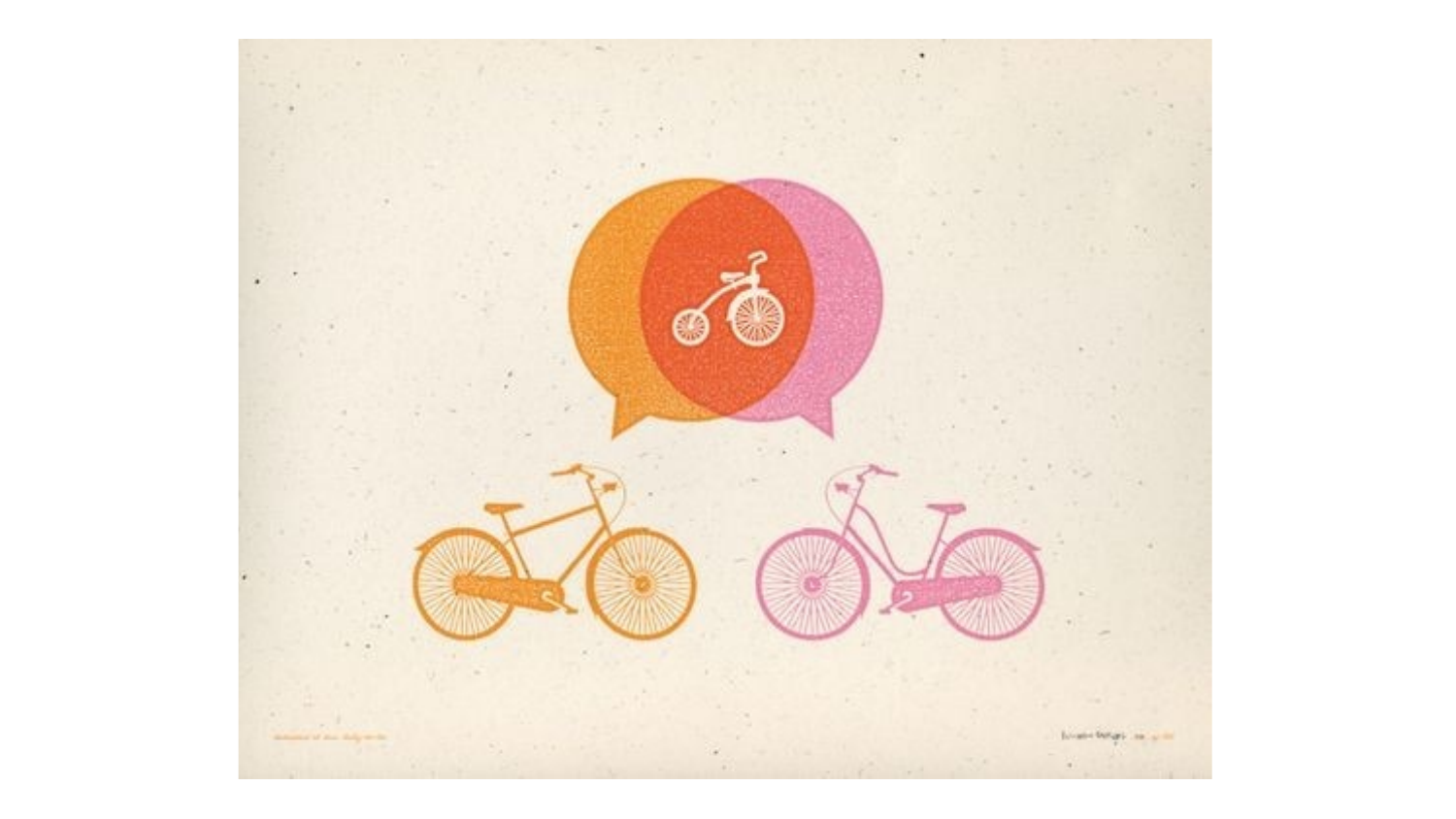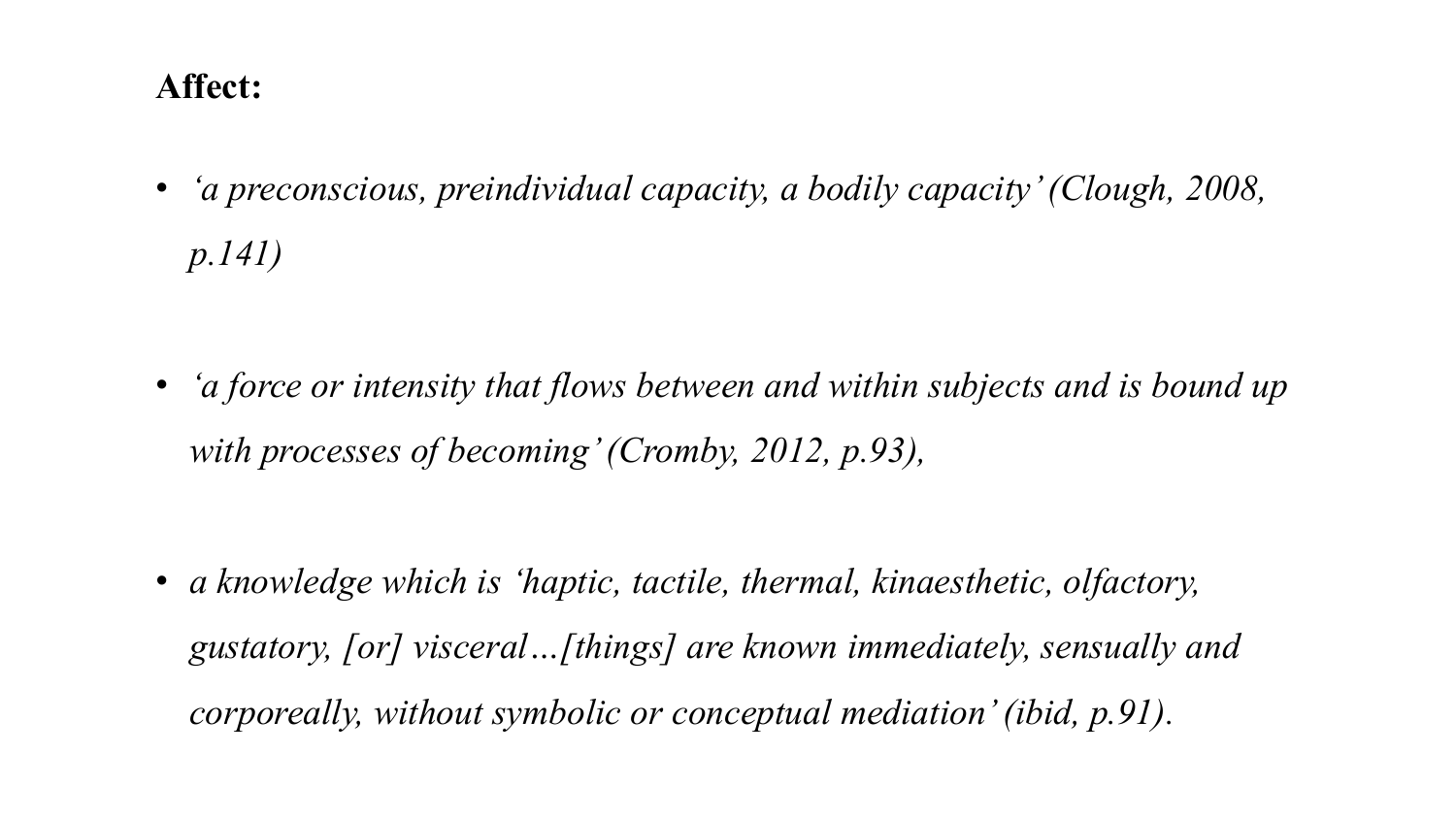## **Affect:**

• *'a preconscious, preindividual capacity, a bodily capacity' (Clough, 2008, p.141)*

• *'a force or intensity that flows between and within subjects and is bound up with processes of becoming' (Cromby, 2012, p.93),* 

• *a knowledge which is 'haptic, tactile, thermal, kinaesthetic, olfactory, gustatory, [or] visceral…[things] are known immediately, sensually and corporeally, without symbolic or conceptual mediation' (ibid, p.91).*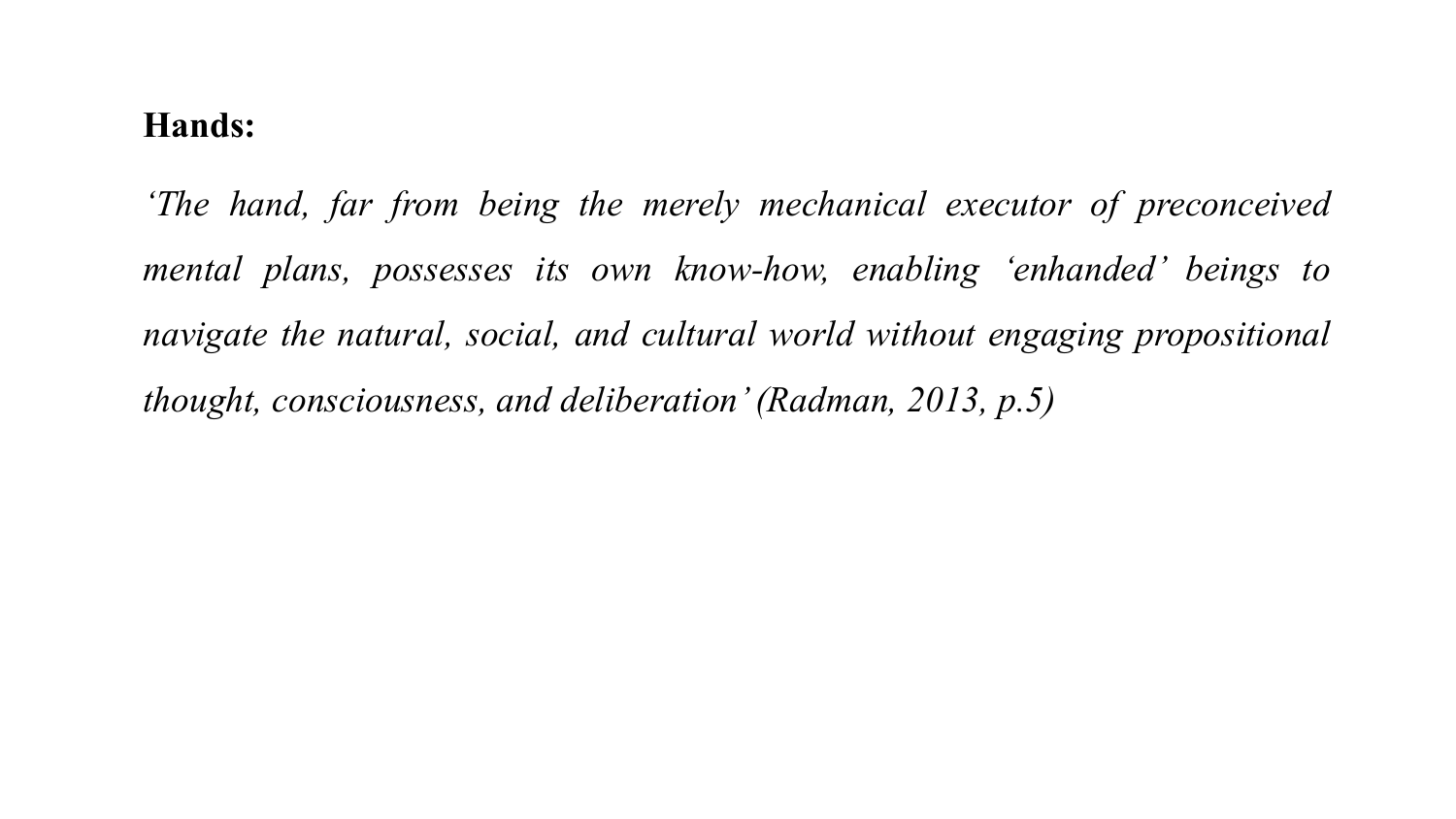## **Hands:**

*'The hand, far from being the merely mechanical executor of preconceived mental plans, possesses its own know-how, enabling 'enhanded' beings to navigate the natural, social, and cultural world without engaging propositional thought, consciousness, and deliberation'(Radman, 2013, p.5)*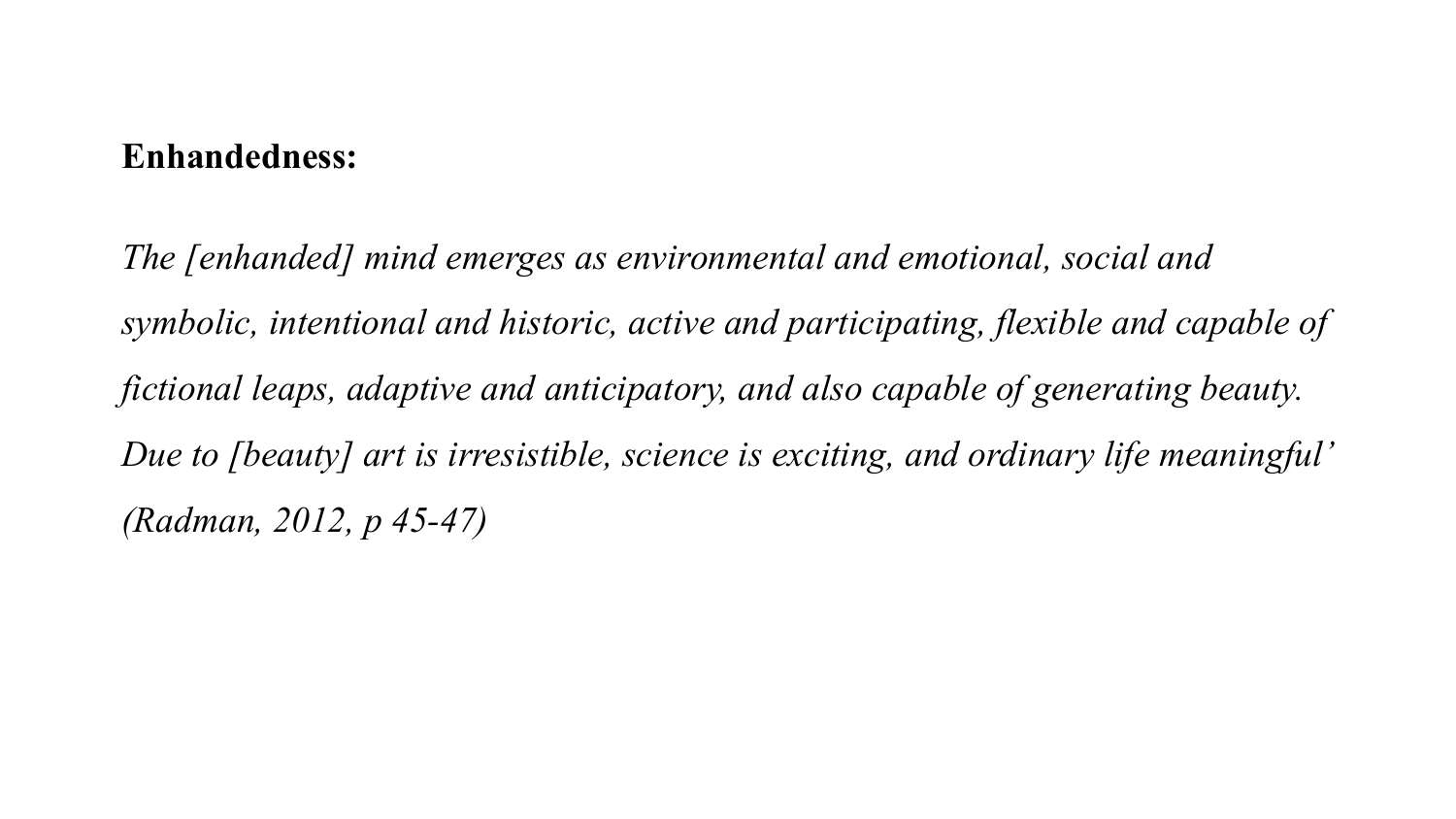## **Enhandedness:**

*The [enhanded] mind emerges as environmental and emotional, social and symbolic, intentional and historic, active and participating, flexible and capable of fictional leaps, adaptive and anticipatory, and also capable of generating beauty. Due to [beauty] art is irresistible, science is exciting, and ordinary life meaningful' (Radman, 2012, p 45-47)*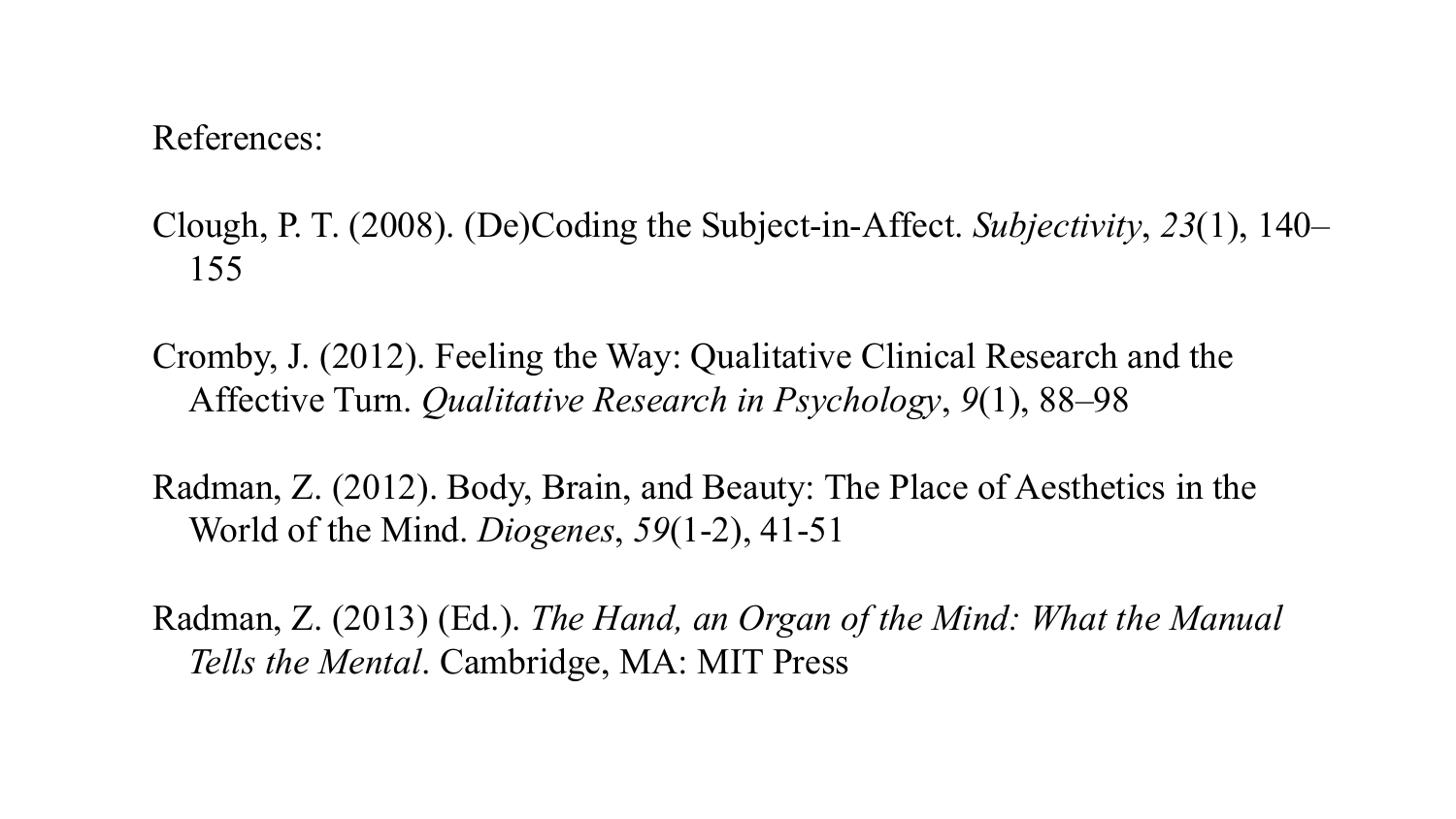References:

Clough, P. T. (2008). (De)Coding the Subject-in-Affect. *Subjectivity*, *23*(1), 140– 155

Cromby, J. (2012). Feeling the Way: Qualitative Clinical Research and the Affective Turn. *Qualitative Research in Psychology*, *9*(1), 88–98

Radman, Z. (2012). Body, Brain, and Beauty: The Place of Aesthetics in the World of the Mind. *Diogenes*, *59*(1-2), 41-51

Radman, Z. (2013) (Ed.). *The Hand, an Organ of the Mind: What the Manual Tells the Mental*. Cambridge, MA: MIT Press